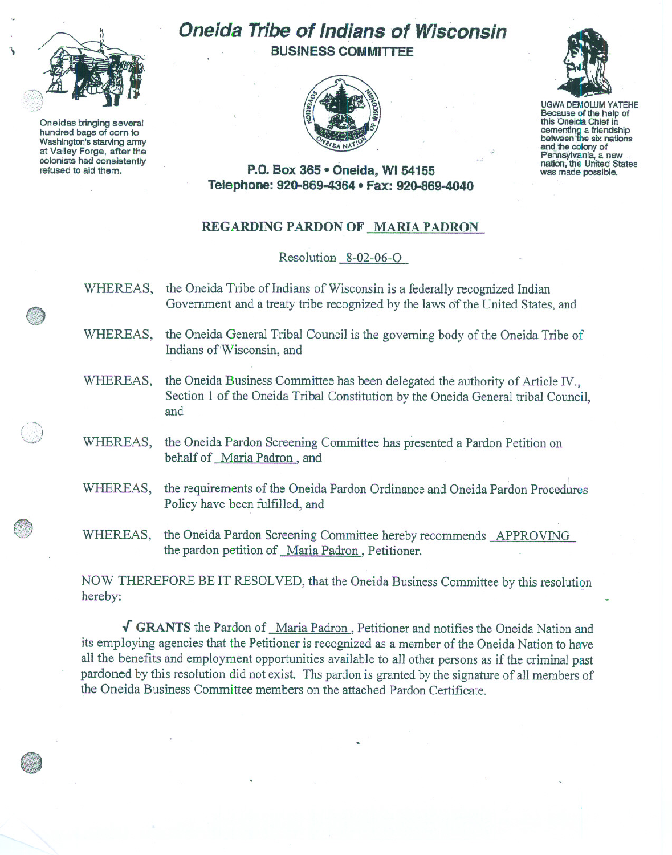

'\

Oneidas bringing several hundred bags of com to Washington's starving army at Valley Forge, after the colonists had consistently refused to aid them.

## **Oneida Tribe of** Indians of **Wisconsin BUSINESS COMMITTEE**





UGWA DEMOLUM YATEHE Because of the help of this Oneida Chief in<br>cementing a friendship between the six nations and the colony of Pennsylvania, a new nation, the United States was made possible.

**P.O. Box 365· Oneida,** WI 54155 **Telephone: 920-869-4364 • Fax: 920-869-4040**

## REGARDING PARDON OF MARlA PADRON

## Resolution 8-02-06-0

- WHEREAS, the Oneida Tribe of Indians of Wisconsin is a federally recognized Indian Government and a treaty tribe recognized by the laws of the United States, and
- WHEREAS, the Oneida General Tribal Council is the governing body of the Oneida Tribe of Indians of'Wisconsin, and
- WHEREAS, the Oneida Business Committee has been delegated the authority of Article IV., Section 1 of the Oneida Tribal Constitution by the Oneida General tribal Council, and
- WHEREAS, the Oneida Pardon Screening Committee has presented a Pardon Petition on behalf of Maria Padron, and
- WHEREAS, the requirements of the Oneida Pardon Ordinance and Oneida Pardon Procedures Policy have been fulfilled, and
- WHEREAS, the Oneida Pardon Screening Committee hereby recommends APPROVING the pardon petition of Maria Padron, Petitioner.

NOW THEREFORE BE IT RESOLVED, that the Oneida Business Committee by this resolution hereby:

 $\sqrt{\text{GRANTS}}$  the Pardon of Maria Padron, Petitioner and notifies the Oneida Nation and its employing agencies that the Petitioner is recognized as a member of the Oneida Nation to have all the benefits and employment opportunities available to all other persons as if the criminal past pardoned by this resolution did not exist. Ths pardon is granted by the signature of all members of the Oneida Business Committee members on the attached Pardon Certificate.